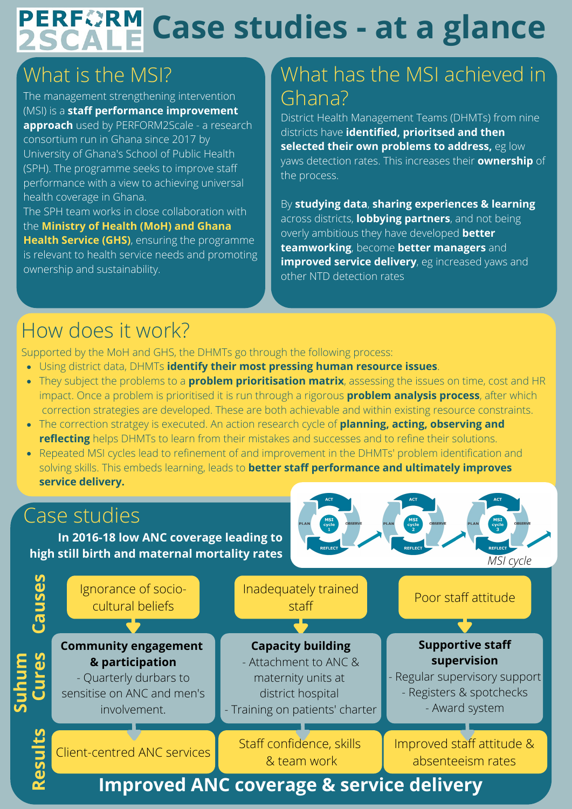# **PERFORM Case studies - at a glance**

# What is the MSI?

The management strengthening intervention (MSI) is a **staff performance improvement approach** used by PERFORM2Scale - a research consortium run in Ghana since 2017 by University of Ghana's School of Public Health (SPH). The programme seeks to improve staff performance with a view to achieving universal health coverage in Ghana. The SPH team works in close collaboration with

the **Ministry of Health (MoH) and Ghana Health Service (GHS)**, ensuring the programme is relevant to health service needs and promoting ownership and sustainability.

## What has the MSI achieved in Ghana?

District Health Management Teams (DHMTs) from nine districts have **identified, prioritsed and then selected their own problems to address,** eg low yaws detection rates. This increases their **ownership** of the process.

By **studying data**, **sharing experiences & learning** across districts, **lobbying partners**, and not being overly ambitious they have developed **better teamworking**, become **better managers** and **improved service delivery**, eg increased yaws and other NTD detection rates

# How does it work?

Supported by the MoH and GHS, the DHMTs go through the following process:

- Using district data, DHMTs **identify their most pressing human resource issues**.
- They subject the problems to a **problem prioritisation matrix**, assessing the issues on time, cost and HR impact. Once a problem is prioritised it is run through a rigorous **problem analysis process**, after which correction strategies are developed. These are both achievable and within existing resource constraints.
- The correction stratgey is executed. An action research cycle of **planning, acting, observing and reflecting** helps DHMTs to learn from their mistakes and successes and to refine their solutions.
- Repeated MSI cycles lead to refinement of and improvement in the DHMTs' problem identification and solving skills. This embeds learning, leads to **better staff performance and ultimately improves service delivery.**

## Case studies

**In 2016-18 low ANC coverage leading to high still birth and maternal mortality rates**